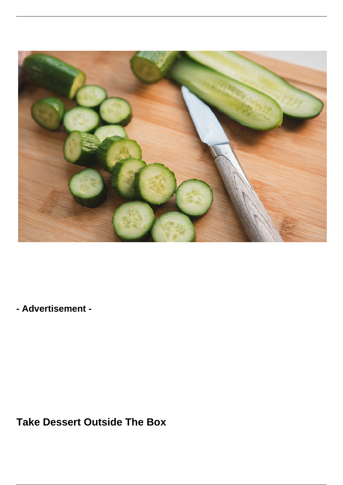

**- Advertisement -**

**Take Dessert Outside The Box**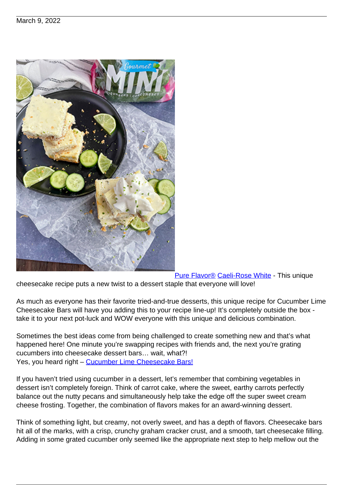

[Pure Flavor®](https://www.pure-flavor.com/?utm_source=theproducenews&utm_medium=web&utm_campaign=PLiving-Blog-2-March_09Mar2022&utm_term=&utm_content=brand_brand) [Caeli-Rose White](https://www.instagram.com/happierinthekitchen/) - This unique cheesecake recipe puts a new twist to a dessert staple that everyone will love!

As much as everyone has their favorite tried-and-true desserts, this unique recipe for Cucumber Lime Cheesecake Bars will have you adding this to your recipe line-up! It's completely outside the box take it to your next pot-luck and WOW everyone with this unique and delicious combination.

Sometimes the best ideas come from being challenged to create something new and that's what happened here! One minute you're swapping recipes with friends and, the next you're grating cucumbers into cheesecake dessert bars… wait, what?! Yes, you heard right - [Cucumber Lime Cheesecake Bars!](https://www.pure-flavor.com/recipe/cucumber-lime-cheesecake-bars/?utm_source=theproducenews&utm_medium=web&utm_campaign=PLiving-Blog-2-March_09Mar2022&utm_term=&utm_content=mini_cucumbers)

If you haven't tried using cucumber in a dessert, let's remember that combining vegetables in dessert isn't completely foreign. Think of carrot cake, where the sweet, earthy carrots perfectly balance out the nutty pecans and simultaneously help take the edge off the super sweet cream cheese frosting. Together, the combination of flavors makes for an award-winning dessert.

Think of something light, but creamy, not overly sweet, and has a depth of flavors. Cheesecake bars hit all of the marks, with a crisp, crunchy graham cracker crust, and a smooth, tart cheesecake filling. Adding in some grated cucumber only seemed like the appropriate next step to help mellow out the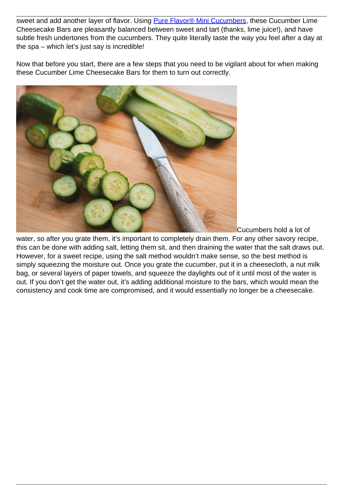sweet and add another layer of flavor. Using [Pure Flavor® Mini Cucumbers](https://www.pure-flavor.com/products/mini-cucumbers/?utm_source=theproducenews&utm_medium=web&utm_campaign=PLiving-Blog-2-March_09Mar2022&utm_term=&utm_content=brand_cucumbers), these Cucumber Lime Cheesecake Bars are pleasantly balanced between sweet and tart (thanks, lime juice!), and have subtle fresh undertones from the cucumbers. They quite literally taste the way you feel after a day at the spa – which let's just say is incredible!

Now that before you start, there are a few steps that you need to be vigilant about for when making these Cucumber Lime Cheesecake Bars for them to turn out correctly.



Cucumbers hold a lot of

water, so after you grate them, it's important to completely drain them. For any other savory recipe, this can be done with adding salt, letting them sit, and then draining the water that the salt draws out. However, for a sweet recipe, using the salt method wouldn't make sense, so the best method is simply squeezing the moisture out. Once you grate the cucumber, put it in a cheesecloth, a nut milk bag, or several layers of paper towels, and squeeze the daylights out of it until most of the water is out. If you don't get the water out, it's adding additional moisture to the bars, which would mean the consistency and cook time are compromised, and it would essentially no longer be a cheesecake.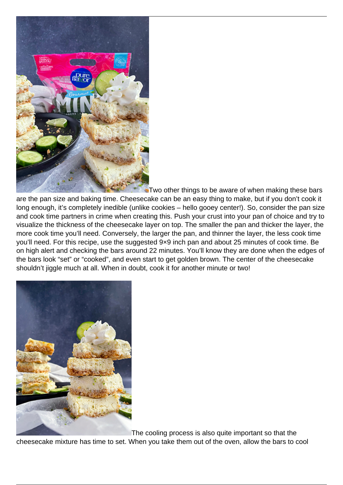

Two other things to be aware of when making these bars are the pan size and baking time. Cheesecake can be an easy thing to make, but if you don't cook it long enough, it's completely inedible (unlike cookies – hello gooey center!). So, consider the pan size and cook time partners in crime when creating this. Push your crust into your pan of choice and try to visualize the thickness of the cheesecake layer on top. The smaller the pan and thicker the layer, the more cook time you'll need. Conversely, the larger the pan, and thinner the layer, the less cook time you'll need. For this recipe, use the suggested 9×9 inch pan and about 25 minutes of cook time. Be on high alert and checking the bars around 22 minutes. You'll know they are done when the edges of the bars look "set" or "cooked", and even start to get golden brown. The center of the cheesecake shouldn't jiggle much at all. When in doubt, cook it for another minute or two!



The cooling process is also quite important so that the

cheesecake mixture has time to set. When you take them out of the oven, allow the bars to cool